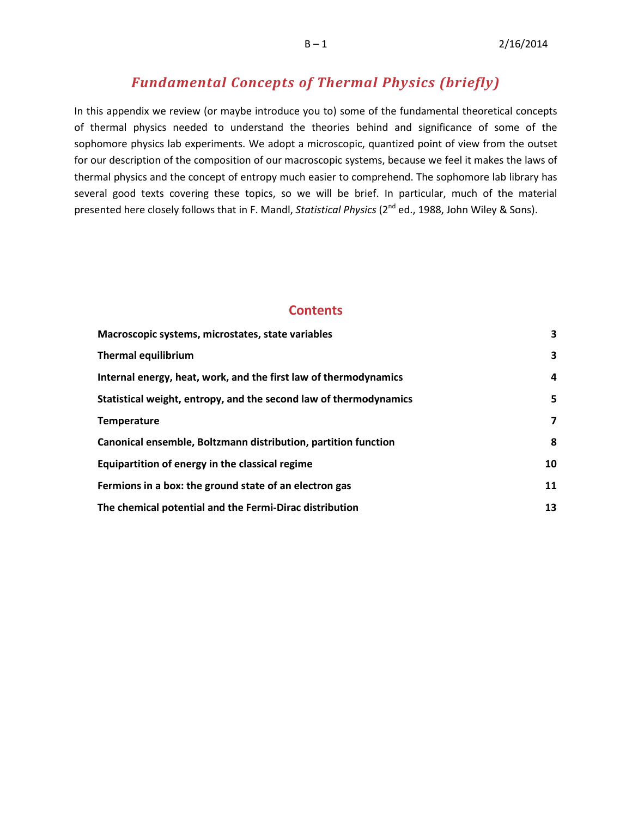# *Fundamental Concepts of Thermal Physics (briefly)*

In this appendix we review (or maybe introduce you to) some of the fundamental theoretical concepts of thermal physics needed to understand the theories behind and significance of some of the sophomore physics lab experiments. We adopt a microscopic, quantized point of view from the outset for our description of the composition of our macroscopic systems, because we feel it makes the laws of thermal physics and the concept of entropy much easier to comprehend. The sophomore lab library has several good texts covering these topics, so we will be brief. In particular, much of the material presented here closely follows that in F. Mandl, *Statistical Physics* (2<sup>nd</sup> ed., 1988, John Wiley & Sons).

## **Contents**

| Macroscopic systems, microstates, state variables                 | 3  |
|-------------------------------------------------------------------|----|
| <b>Thermal equilibrium</b>                                        | 3  |
| Internal energy, heat, work, and the first law of thermodynamics  | 4  |
| Statistical weight, entropy, and the second law of thermodynamics | 5  |
| Temperature                                                       | 7  |
| Canonical ensemble, Boltzmann distribution, partition function    | 8  |
| Equipartition of energy in the classical regime                   | 10 |
| Fermions in a box: the ground state of an electron gas            | 11 |
| The chemical potential and the Fermi-Dirac distribution           | 13 |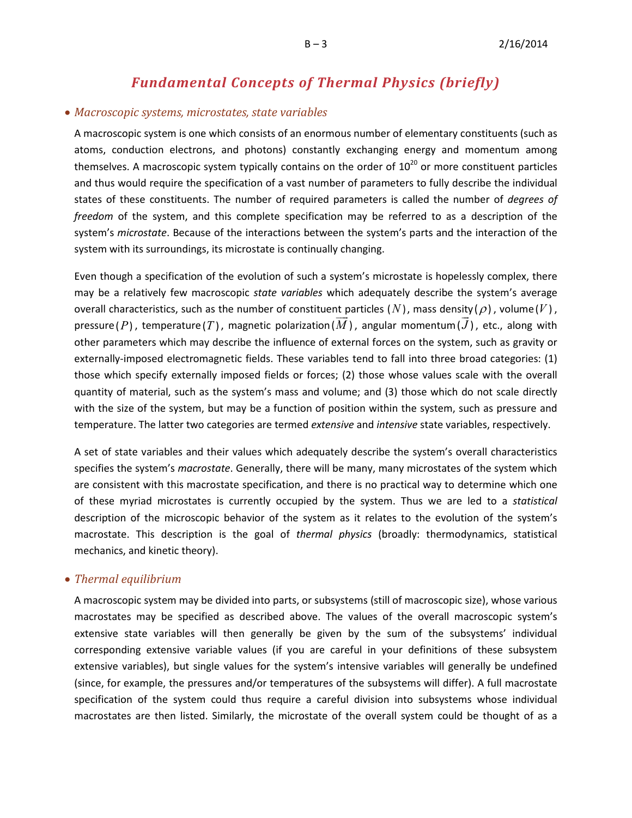# *Fundamental Concepts of Thermal Physics (briefly)*

## • *Macroscopic systems, microstates, state variables*

A macroscopic system is one which consists of an enormous number of elementary constituents (such as atoms, conduction electrons, and photons) constantly exchanging energy and momentum among themselves. A macroscopic system typically contains on the order of  $10^{20}$  or more constituent particles and thus would require the specification of a vast number of parameters to fully describe the individual states of these constituents. The number of required parameters is called the number of *degrees of freedom* of the system, and this complete specification may be referred to as a description of the system's *microstate*. Because of the interactions between the system's parts and the interaction of the system with its surroundings, its microstate is continually changing.

Even though a specification of the evolution of such a system's microstate is hopelessly complex, there may be a relatively few macroscopic *state variables* which adequately describe the system's average overall characteristics, such as the number of constituent particles  $(N)$ , mass density  $(\rho)$ , volume  $(V)$ ,  $\mathsf{pressure}\left( P \right)$ , temperature $\left( T \right)$ , magnetic polarization $\left( M \right)$ , angular momentum $\left( J \right)$ , etc., along with other parameters which may describe the influence of external forces on the system, such as gravity or externally-imposed electromagnetic fields. These variables tend to fall into three broad categories: (1) those which specify externally imposed fields or forces; (2) those whose values scale with the overall quantity of material, such as the system's mass and volume; and (3) those which do not scale directly with the size of the system, but may be a function of position within the system, such as pressure and temperature. The latter two categories are termed *extensive* and *intensive* state variables, respectively.

A set of state variables and their values which adequately describe the system's overall characteristics specifies the system's *macrostate*. Generally, there will be many, many microstates of the system which are consistent with this macrostate specification, and there is no practical way to determine which one of these myriad microstates is currently occupied by the system. Thus we are led to a *statistical* description of the microscopic behavior of the system as it relates to the evolution of the system's macrostate. This description is the goal of *thermal physics* (broadly: thermodynamics, statistical mechanics, and kinetic theory).

### <span id="page-2-0"></span>• *Thermal equilibrium*

A macroscopic system may be divided into parts, or subsystems (still of macroscopic size), whose various macrostates may be specified as described above. The values of the overall macroscopic system's extensive state variables will then generally be given by the sum of the subsystems' individual corresponding extensive variable values (if you are careful in your definitions of these subsystem extensive variables), but single values for the system's intensive variables will generally be undefined (since, for example, the pressures and/or temperatures of the subsystems will differ). A full macrostate specification of the system could thus require a careful division into subsystems whose individual macrostates are then listed. Similarly, the microstate of the overall system could be thought of as a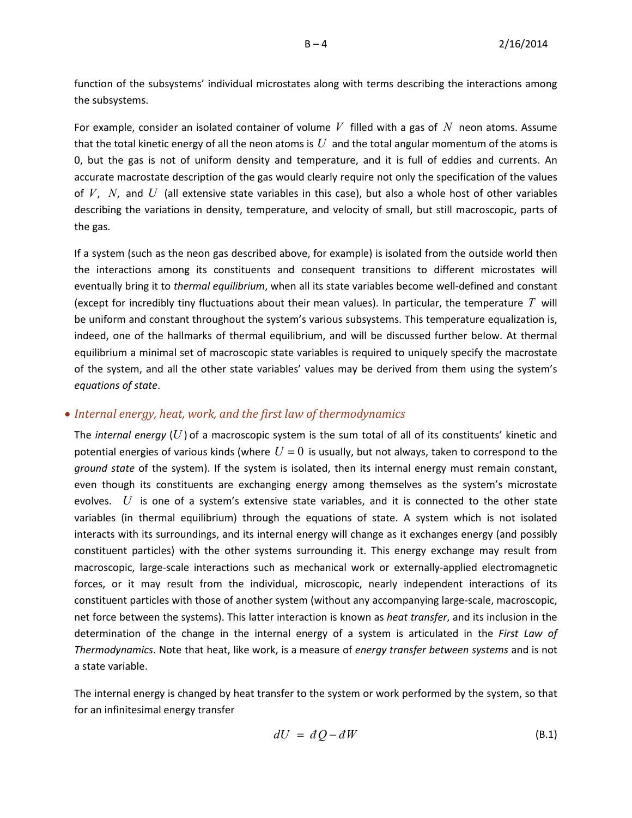function of the subsystems' individual microstates along with terms describing the interactions among the subsystems.

For example, consider an isolated container of volume *V* filled with a gas of *N* neon atoms. Assume that the total kinetic energy of all the neon atoms is *U* and the total angular momentum of the atoms is 0, but the gas is not of uniform density and temperature, and it is full of eddies and currents. An accurate macrostate description of the gas would clearly require not only the specification of the values of *V*, *N*, and *U* (all extensive state variables in this case), but also a whole host of other variables describing the variations in density, temperature, and velocity of small, but still macroscopic, parts of the gas.

If a system (such as the neon gas described above, for example) is isolated from the outside world then the interactions among its constituents and consequent transitions to different microstates will eventually bring it to *thermal equilibrium*, when all its state variables become well-defined and constant (except for incredibly tiny fluctuations about their mean values). In particular, the temperature *T* will be uniform and constant throughout the system's various subsystems. This temperature equalization is, indeed, one of the hallmarks of thermal equilibrium, and will be discussed further below. At thermal equilibrium a minimal set of macroscopic state variables is required to uniquely specify the macrostate of the system, and all the other state variables' values may be derived from them using the system's *equations of state*.

## <span id="page-3-0"></span>• *Internal energy, heat, work, and the first law of thermodynamics*

The *internal energy*  $(U)$  of a macroscopic system is the sum total of all of its constituents' kinetic and potential energies of various kinds (where  $U = 0$  is usually, but not always, taken to correspond to the *ground state* of the system). If the system is isolated, then its internal energy must remain constant, even though its constituents are exchanging energy among themselves as the system's microstate evolves. *U* is one of a system's extensive state variables, and it is connected to the other state variables (in thermal equilibrium) through the equations of state. A system which is not isolated interacts with its surroundings, and its internal energy will change as it exchanges energy (and possibly constituent particles) with the other systems surrounding it. This energy exchange may result from macroscopic, large-scale interactions such as mechanical work or externally-applied electromagnetic forces, or it may result from the individual, microscopic, nearly independent interactions of its constituent particles with those of another system (without any accompanying large-scale, macroscopic, net force between the systems). This latter interaction is known as *heat transfer*, and its inclusion in the determination of the change in the internal energy of a system is articulated in the *First Law of Thermodynamics*. Note that heat, like work, is a measure of *energy transfer between systems* and is not a state variable.

The internal energy is changed by heat transfer to the system or work performed by the system, so that for an infinitesimal energy transfer

$$
dU = dQ - dW \tag{B.1}
$$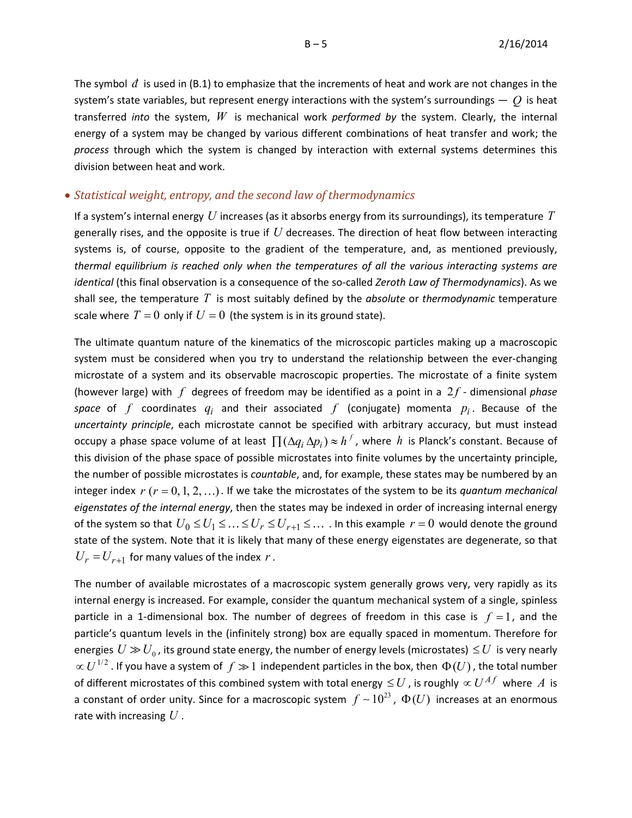The symbol  $\bar{d}$  is used in (B.1) to emphasize that the increments of heat and work are not changes in the system's state variables, but represent energy interactions with the system's surroundings — *Q* is heat transferred *into* the system, *W* is mechanical work *performed by* the system. Clearly, the internal energy of a system may be changed by various different combinations of heat transfer and work; the *process* through which the system is changed by interaction with external systems determines this division between heat and work.

#### <span id="page-4-0"></span>• *Statistical weight, entropy, and the second law of thermodynamics*

If a system's internal energy *U* increases (as it absorbs energy from its surroundings), its temperature *T* generally rises, and the opposite is true if *U* decreases. The direction of heat flow between interacting systems is, of course, opposite to the gradient of the temperature, and, as mentioned previously, *thermal equilibrium is reached only when the temperatures of all the various interacting systems are identical* (this final observation is a consequence of the so-called *Zeroth Law of Thermodynamics*). As we shall see, the temperature *T* is most suitably defined by the *absolute* or *thermodynamic* temperature scale where  $T = 0$  only if  $U = 0$  (the system is in its ground state).

The ultimate quantum nature of the kinematics of the microscopic particles making up a macroscopic system must be considered when you try to understand the relationship between the ever-changing microstate of a system and its observable macroscopic properties. The microstate of a finite system (however large) with *f* degrees of freedom may be identified as a point in a 2f - dimensional *phase space* of  $f$  coordinates  $q_i$  and their associated  $f$  (conjugate) momenta  $p_i$ . Because of the *uncertainty principle*, each microstate cannot be specified with arbitrary accuracy, but must instead occupy a phase space volume of at least  $\prod (\Delta q_i \Delta p_i) \approx h^f$ , where *h* is Planck's constant. Because of this division of the phase space of possible microstates into finite volumes by the uncertainty principle, the number of possible microstates is *countable*, and, for example, these states may be numbered by an integer index  $r(r = 0, 1, 2, ...)$ . If we take the microstates of the system to be its *quantum mechanical eigenstates of the internal energy*, then the states may be indexed in order of increasing internal energy of the system so that  $U_0 \le U_1 \le \ldots \le U_r \le U_{r+1} \le \ldots$  In this example  $r = 0$  would denote the ground state of the system. Note that it is likely that many of these energy eigenstates are degenerate, so that  $U_r = U_{r+1}$  for many values of the index *r*.

The number of available microstates of a macroscopic system generally grows very, very rapidly as its internal energy is increased. For example, consider the quantum mechanical system of a single, spinless particle in a 1-dimensional box. The number of degrees of freedom in this case is  $f = 1$ , and the particle's quantum levels in the (infinitely strong) box are equally spaced in momentum. Therefore for energies  $U \gg U_0$ , its ground state energy, the number of energy levels (microstates)  $\leq U$  is very nearly  $\propto U^{1/2}$  . If you have a system of  $f \gg 1$  independent particles in the box, then  $\Phi(U)$ , the total number of different microstates of this combined system with total energy  $\leq U$  , is roughly  $\propto U^{A}$  where  $A$  is a constant of order unity. Since for a macroscopic system  $f \sim 10^{23}$ ,  $\Phi(U)$  increases at an enormous rate with increasing *U* .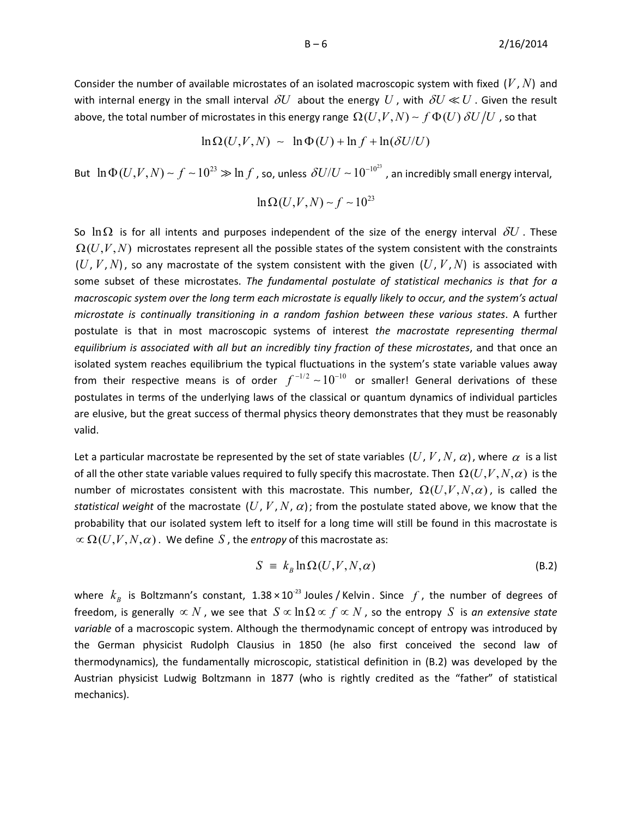Consider the number of available microstates of an isolated macroscopic system with fixed  $(V, N)$  and with internal energy in the small interval  $\delta U$  about the energy  $U$ , with  $\delta U \ll U$ . Given the result above, the total number of microstates in this energy range  $\Omega(U, V, N) \sim f \Phi(U) \, \delta U/U$  , so that

 $\ln \Omega(U, V, N) \sim \ln \Phi(U) + \ln f + \ln(\delta U/U)$ 

But  $\ln \Phi(U, V, N) \sim f \sim 10^{23} \gg \ln f$ , so, unless  $\delta U/U \sim 10^{-10^{23}}$ , an incredibly small energy interval,

$$
\ln\Omega(U,V,N)\sim f\sim 10^{23}
$$

So  $\ln \Omega$  is for all intents and purposes independent of the size of the energy interval  $\delta U$ . These  $\Omega(U,V,N)$  microstates represent all the possible states of the system consistent with the constraints  $(U, V, N)$ , so any macrostate of the system consistent with the given  $(U, V, N)$  is associated with some subset of these microstates. *The fundamental postulate of statistical mechanics is that for a macroscopic system over the long term each microstate is equally likely to occur, and the system's actual microstate is continually transitioning in a random fashion between these various states*. A further postulate is that in most macroscopic systems of interest *the macrostate representing thermal equilibrium is associated with all but an incredibly tiny fraction of these microstates*, and that once an isolated system reaches equilibrium the typical fluctuations in the system's state variable values away from their respective means is of order  $f^{-1/2} \sim 10^{-10}$  or smaller! General derivations of these postulates in terms of the underlying laws of the classical or quantum dynamics of individual particles are elusive, but the great success of thermal physics theory demonstrates that they must be reasonably valid.

Let a particular macrostate be represented by the set of state variables  $(U, V, N, \alpha)$ , where  $\alpha$  is a list of all the other state variable values required to fully specify this macrostate. Then  $\Omega(U,V,N,\alpha)$  is the number of microstates consistent with this macrostate. This number,  $\Omega(U,V,N,\alpha)$ , is called the *statistical weight* of the macrostate  $(U, V, N, \alpha)$ ; from the postulate stated above, we know that the probability that our isolated system left to itself for a long time will still be found in this macrostate is  $\alpha \Omega(U, V, N, \alpha)$ . We define *S*, the *entropy* of this macrostate as:

$$
S = k_B \ln \Omega(U, V, N, \alpha) \tag{B.2}
$$

where  $k_B$  is Boltzmann's constant,  $1.38 \times 10^{-23}$  Joules / Kelvin . Since  $f$ , the number of degrees of freedom, is generally  $\propto N$ , we see that  $S \propto \ln \Omega \propto f \propto N$ , so the entropy *S* is *an extensive state variable* of a macroscopic system. Although the thermodynamic concept of entropy was introduced by the German physicist Rudolph Clausius in 1850 (he also first conceived the second law of thermodynamics), the fundamentally microscopic, statistical definition in (B.2) was developed by the Austrian physicist Ludwig Boltzmann in 1877 (who is rightly credited as the "father" of statistical mechanics).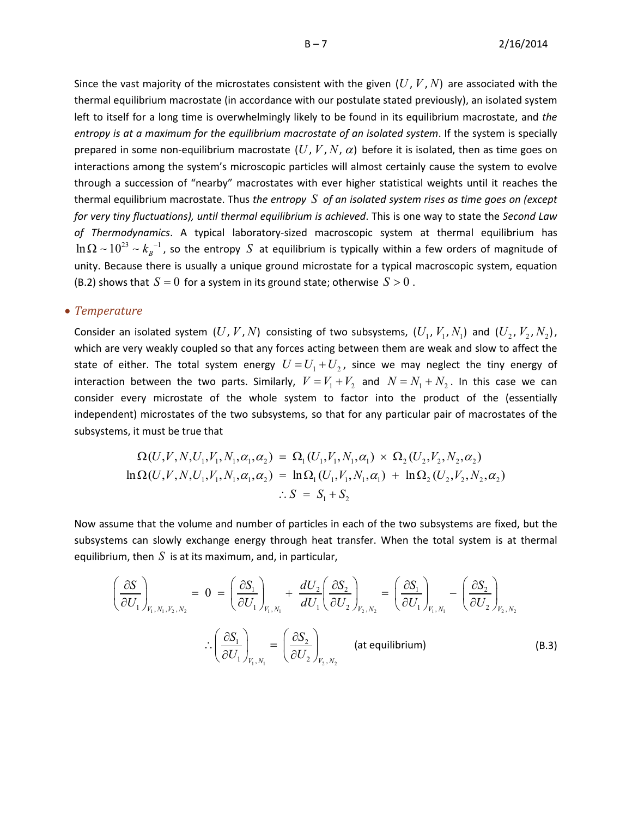Since the vast majority of the microstates consistent with the given  $(U, V, N)$  are associated with the thermal equilibrium macrostate (in accordance with our postulate stated previously), an isolated system left to itself for a long time is overwhelmingly likely to be found in its equilibrium macrostate, and *the entropy is at a maximum for the equilibrium macrostate of an isolated system*. If the system is specially prepared in some non-equilibrium macrostate  $(U, V, N, \alpha)$  before it is isolated, then as time goes on interactions among the system's microscopic particles will almost certainly cause the system to evolve through a succession of "nearby" macrostates with ever higher statistical weights until it reaches the thermal equilibrium macrostate. Thus *the entropy S of an isolated system rises as time goes on (except for very tiny fluctuations), until thermal equilibrium is achieved*. This is one way to state the *Second Law of Thermodynamics*. A typical laboratory-sized macroscopic system at thermal equilibrium has  $\ln \Omega \sim 10^{23} \sim k_B^{-1}$ , so the entropy *S* at equilibrium is typically within a few orders of magnitude of unity. Because there is usually a unique ground microstate for a typical macroscopic system, equation (B.2) shows that  $S = 0$  for a system in its ground state; otherwise  $S > 0$ .

#### <span id="page-6-0"></span>• *Temperature*

Consider an isolated system  $(U, V, N)$  consisting of two subsystems,  $(U_1, V_1, N_1)$  and  $(U_2, V_2, N_2)$ , which are very weakly coupled so that any forces acting between them are weak and slow to affect the state of either. The total system energy  $U = U_1 + U_2$ , since we may neglect the tiny energy of interaction between the two parts. Similarly,  $V = V_1 + V_2$  and  $N = N_1 + N_2$ . In this case we can consider every microstate of the whole system to factor into the product of the (essentially independent) microstates of the two subsystems, so that for any particular pair of macrostates of the subsystems, it must be true that

$$
\Omega(U, V, N, U_1, V_1, N_1, \alpha_1, \alpha_2) = \Omega_1(U_1, V_1, N_1, \alpha_1) \times \Omega_2(U_2, V_2, N_2, \alpha_2)
$$
  
\n
$$
\ln \Omega(U, V, N, U_1, V_1, N_1, \alpha_1, \alpha_2) = \ln \Omega_1(U_1, V_1, N_1, \alpha_1) + \ln \Omega_2(U_2, V_2, N_2, \alpha_2)
$$
  
\n
$$
\therefore S = S_1 + S_2
$$

Now assume that the volume and number of particles in each of the two subsystems are fixed, but the subsystems can slowly exchange energy through heat transfer. When the total system is at thermal equilibrium, then  $S$  is at its maximum, and, in particular,

$$
\left(\frac{\partial S}{\partial U_1}\right)_{V_1, N_1, V_2, N_2} = 0 = \left(\frac{\partial S_1}{\partial U_1}\right)_{V_1, N_1} + \frac{dU_2}{dU_1} \left(\frac{\partial S_2}{\partial U_2}\right)_{V_2, N_2} = \left(\frac{\partial S_1}{\partial U_1}\right)_{V_1, N_1} - \left(\frac{\partial S_2}{\partial U_2}\right)_{V_2, N_2}
$$
  
 
$$
\therefore \left(\frac{\partial S_1}{\partial U_1}\right)_{V_1, N_1} = \left(\frac{\partial S_2}{\partial U_2}\right)_{V_2, N_2} \text{ (at equilibrium)}
$$
 (B.3)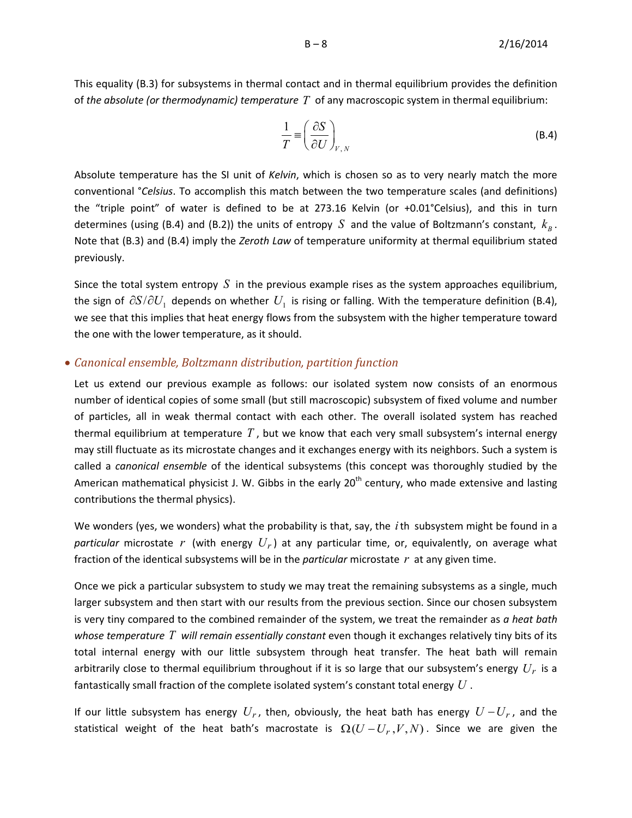This equality (B.3) for subsystems in thermal contact and in thermal equilibrium provides the definition of *the absolute (or thermodynamic) temperature T* of any macroscopic system in thermal equilibrium:

$$
\frac{1}{T} \equiv \left(\frac{\partial S}{\partial U}\right)_{V,N}
$$
\n(B.4)

Absolute temperature has the SI unit of *Kelvin*, which is chosen so as to very nearly match the more conventional °*Celsius*. To accomplish this match between the two temperature scales (and definitions) the "triple point" of water is defined to be at 273.16 Kelvin (or +0.01°Celsius), and this in turn determines (using (B.4) and (B.2)) the units of entropy *S* and the value of Boltzmann's constant, *<sup>B</sup> k* . Note that (B.3) and (B.4) imply the *Zeroth Law* of temperature uniformity at thermal equilibrium stated previously.

Since the total system entropy  $S$  in the previous example rises as the system approaches equilibrium, the sign of  $\partial S/\partial U_1$  depends on whether  $U_1$  is rising or falling. With the temperature definition (B.4), we see that this implies that heat energy flows from the subsystem with the higher temperature toward the one with the lower temperature, as it should.

#### <span id="page-7-0"></span>• *Canonical ensemble, Boltzmann distribution, partition function*

Let us extend our previous example as follows: our isolated system now consists of an enormous number of identical copies of some small (but still macroscopic) subsystem of fixed volume and number of particles, all in weak thermal contact with each other. The overall isolated system has reached thermal equilibrium at temperature *T* , but we know that each very small subsystem's internal energy may still fluctuate as its microstate changes and it exchanges energy with its neighbors. Such a system is called a *canonical ensemble* of the identical subsystems (this concept was thoroughly studied by the American mathematical physicist J. W. Gibbs in the early  $20<sup>th</sup>$  century, who made extensive and lasting contributions the thermal physics).

We wonders (yes, we wonders) what the probability is that, say, the *i*th subsystem might be found in a *particular* microstate r (with energy  $U_r$ ) at any particular time, or, equivalently, on average what fraction of the identical subsystems will be in the *particular* microstate *r* at any given time.

Once we pick a particular subsystem to study we may treat the remaining subsystems as a single, much larger subsystem and then start with our results from the previous section. Since our chosen subsystem is very tiny compared to the combined remainder of the system, we treat the remainder as *a heat bath whose temperature T will remain essentially constant* even though it exchanges relatively tiny bits of its total internal energy with our little subsystem through heat transfer. The heat bath will remain arbitrarily close to thermal equilibrium throughout if it is so large that our subsystem's energy *Ur* is a fantastically small fraction of the complete isolated system's constant total energy *U* .

If our little subsystem has energy  $U_r$ , then, obviously, the heat bath has energy  $U-U_r$ , and the statistical weight of the heat bath's macrostate is  $\Omega(U - U_r, V, N)$ . Since we are given the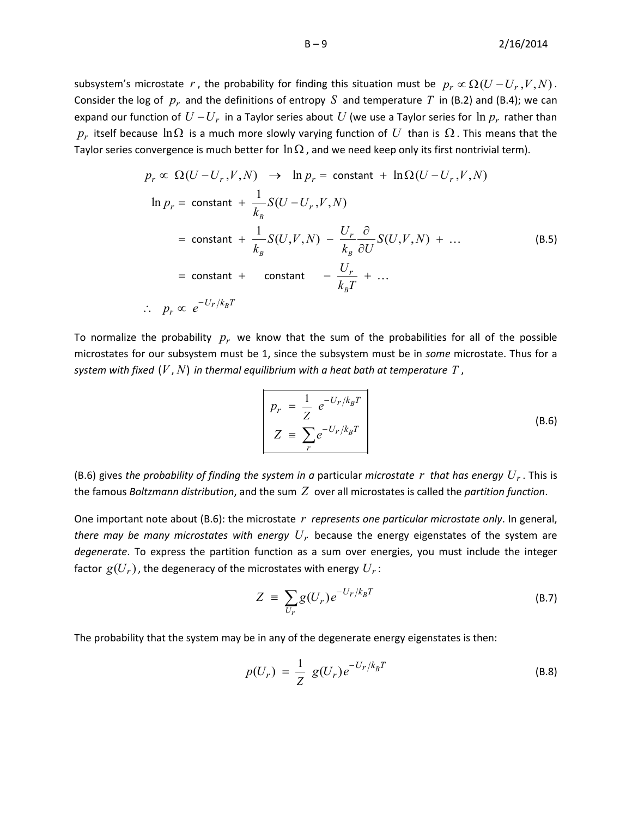subsystem's microstate *r*, the probability for finding this situation must be  $p_r \propto \Omega (U - U_r, V, N)$ . Consider the log of  $p_r$  and the definitions of entropy S and temperature T in (B.2) and (B.4); we can expand our function of  $U-U_r$  in a Taylor series about  $U$  (we use a Taylor series for  $\ln p_r$  rather than *p<sub>r</sub>* itself because lnΩ is a much more slowly varying function of *U* than is  $Ω$ . This means that the Taylor series convergence is much better for  $\ln \Omega$ , and we need keep only its first nontrivial term).

$$
p_r \propto \Omega(U - U_r, V, N) \rightarrow \ln p_r = \text{constant} + \ln \Omega(U - U_r, V, N)
$$
  
\n
$$
\ln p_r = \text{constant} + \frac{1}{k_B} S(U - U_r, V, N)
$$
  
\n
$$
= \text{constant} + \frac{1}{k_B} S(U, V, N) - \frac{U_r}{k_B} \frac{\partial}{\partial U} S(U, V, N) + \dots
$$
  
\n
$$
= \text{constant} + \text{constant} - \frac{U_r}{k_B T} + \dots
$$
  
\n
$$
\therefore p_r \propto e^{-U_r / k_B T}
$$
 (B.5)

To normalize the probability  $p_r$  we know that the sum of the probabilities for all of the possible microstates for our subsystem must be 1, since the subsystem must be in *some* microstate. Thus for a *system with fixed*  $(V, N)$  *in thermal equilibrium with a heat bath at temperature T*,

$$
p_r = \frac{1}{Z} e^{-U_r/k_B T}
$$
  

$$
Z = \sum_r e^{-U_r/k_B T}
$$
 (B.6)

(B.6) gives the probability of finding the system in a particular microstate r that has energy  $U_r$ . This is the famous *Boltzmann distribution*, and the sum *Z* over all microstates is called the *partition function*.

One important note about (B.6): the microstate *r represents one particular microstate only*. In general, *there may be many microstates with energy Ur* because the energy eigenstates of the system are *degenerate*. To express the partition function as a sum over energies, you must include the integer factor  $g(U_r)$ , the degeneracy of the microstates with energy  $U_r$ :

$$
Z = \sum_{U_r} g(U_r) e^{-U_r / k_B T}
$$
 (B.7)

The probability that the system may be in any of the degenerate energy eigenstates is then:

$$
p(U_r) = \frac{1}{Z} g(U_r) e^{-U_r/k_B T}
$$
 (B.8)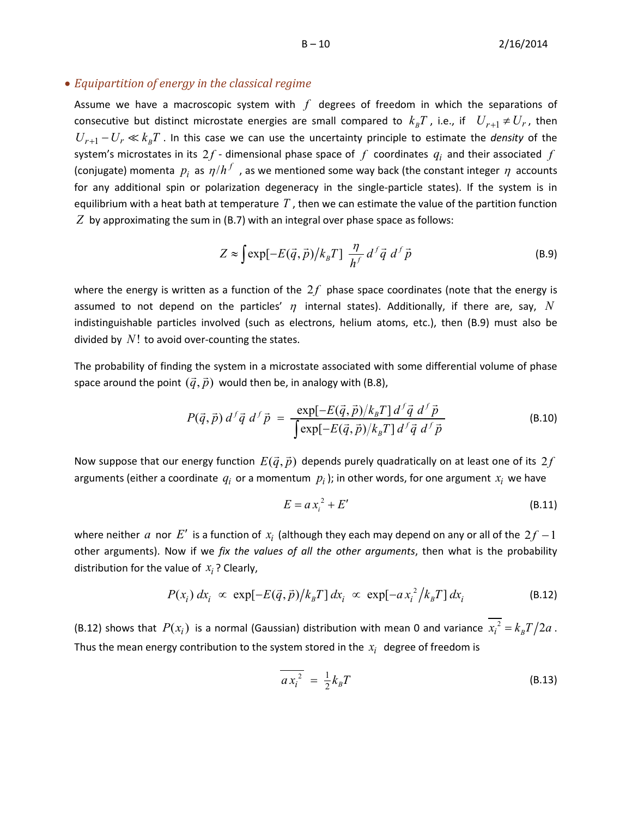#### <span id="page-9-0"></span>• *Equipartition of energy in the classical regime*

Assume we have a macroscopic system with *f* degrees of freedom in which the separations of consecutive but distinct microstate energies are small compared to  $k_{B}T$ , i.e., if  $U_{r+1} \neq U_{r}$ , then  $U_{r+1} - U_r \ll k_B T$ . In this case we can use the uncertainty principle to estimate the *density* of the system's microstates in its  $2f$  - dimensional phase space of  $f$  coordinates  $q_i$  and their associated  $f$ (conjugate) momenta  $p_i$  as  $\eta/h^f$ , as we mentioned some way back (the constant integer  $\eta$  accounts for any additional spin or polarization degeneracy in the single-particle states). If the system is in equilibrium with a heat bath at temperature *T* , then we can estimate the value of the partition function *Z* by approximating the sum in (B.7) with an integral over phase space as follows:

$$
Z \approx \int \exp[-E(\vec{q}, \vec{p})/k_B T] \frac{\eta}{h^f} d^f \vec{q} d^f \vec{p}
$$
 (B.9)

where the energy is written as a function of the  $2f$  phase space coordinates (note that the energy is assumed to not depend on the particles'  $\eta$  internal states). Additionally, if there are, say,  $N$ indistinguishable particles involved (such as electrons, helium atoms, etc.), then (B.9) must also be divided by *N*! to avoid over-counting the states.

The probability of finding the system in a microstate associated with some differential volume of phase space around the point  $(\vec{q}, \vec{p})$  would then be, in analogy with (B.8),

$$
P(\vec{q}, \vec{p}) d^f \vec{q} d^f \vec{p} = \frac{\exp[-E(\vec{q}, \vec{p})/k_B T] d^f \vec{q} d^f \vec{p}}{\int \exp[-E(\vec{q}, \vec{p})/k_B T] d^f \vec{q} d^f \vec{p}}
$$
(B.10)

Now suppose that our energy function  $E(\vec{q}, \vec{p})$  depends purely quadratically on at least one of its  $2f$ arguments (either a coordinate  $q_i$  or a momentum  $p_i$ ); in other words, for one argument  $x_i$  we have

$$
E = a x_i^2 + E'
$$
 (B.11)

where neither *a* nor *E*<sup> $\prime$ </sup> is a function of  $x_i$  (although they each may depend on any or all of the  $2f - 1$ other arguments). Now if we *fix the values of all the other arguments*, then what is the probability distribution for the value of  $x_i$ ? Clearly,

$$
P(x_i) dx_i \propto \exp[-E(\vec{q}, \vec{p})/k_B T] dx_i \propto \exp[-a x_i^2 / k_B T] dx_i
$$
 (B.12)

(B.12) shows that  $P(x_i)$  is a normal (Gaussian) distribution with mean 0 and variance  $\overline{x_i^2} = k_B T / 2a$ . Thus the mean energy contribution to the system stored in the  $x_i$  degree of freedom is

$$
\overline{a x_i^2} = \frac{1}{2} k_B T \tag{B.13}
$$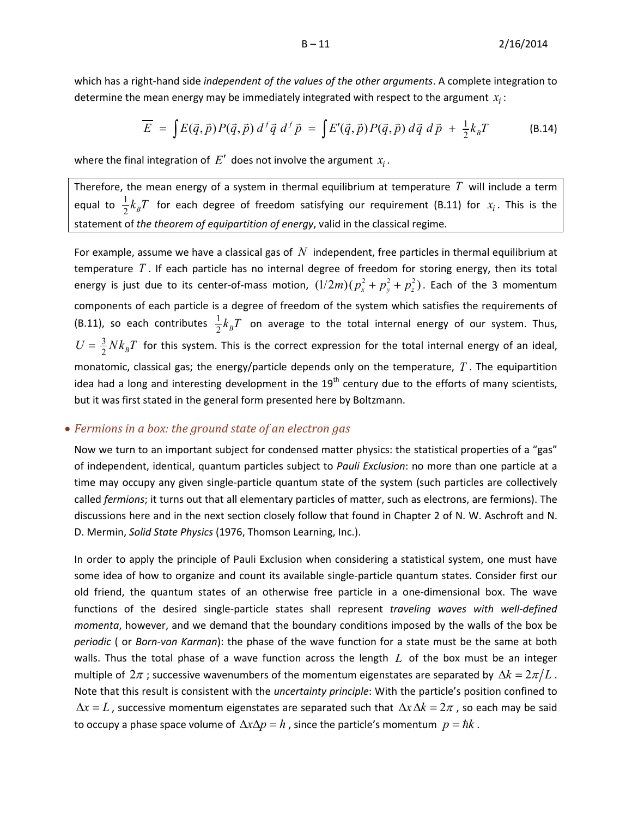which has a right-hand side *independent of the values of the other arguments*. A complete integration to determine the mean energy may be immediately integrated with respect to the argument  $x_i$ :

$$
\overline{E} = \int E(\vec{q}, \vec{p}) P(\vec{q}, \vec{p}) d^{f} \vec{q} d^{f} \vec{p} = \int E'(\vec{q}, \vec{p}) P(\vec{q}, \vec{p}) d\vec{q} d\vec{p} + \frac{1}{2} k_B T
$$
 (B.14)

where the final integration of  $E'$  does not involve the argument  $x_i$ .

Therefore, the mean energy of a system in thermal equilibrium at temperature *T* will include a term equal to  $\frac{1}{2}k_B T$  for each degree of freedom satisfying our requirement (B.11) for  $x_i$ . This is the statement of *the theorem of equipartition of energy*, valid in the classical regime.

For example, assume we have a classical gas of *N* independent, free particles in thermal equilibrium at temperature *T* . If each particle has no internal degree of freedom for storing energy, then its total energy is just due to its center-of-mass motion,  $(1/2m) ( p_x^2 + p_y^2 + p_z^2 )$ . Each of the 3 momentum components of each particle is a degree of freedom of the system which satisfies the requirements of (B.11), so each contributes  $\frac{1}{2}k_BT$  on average to the total internal energy of our system. Thus,  $U = \frac{3}{2} N k_B T$  for this system. This is the correct expression for the total internal energy of an ideal, monatomic, classical gas; the energy/particle depends only on the temperature, *T* . The equipartition idea had a long and interesting development in the  $19<sup>th</sup>$  century due to the efforts of many scientists, but it was first stated in the general form presented here by Boltzmann.

#### <span id="page-10-0"></span>• *Fermions in a box: the ground state of an electron gas*

Now we turn to an important subject for condensed matter physics: the statistical properties of a "gas" of independent, identical, quantum particles subject to *Pauli Exclusion*: no more than one particle at a time may occupy any given single-particle quantum state of the system (such particles are collectively called *fermions*; it turns out that all elementary particles of matter, such as electrons, are fermions). The discussions here and in the next section closely follow that found in Chapter 2 of N. W. Aschroft and N. D. Mermin, *Solid State Physics* (1976, Thomson Learning, Inc.).

In order to apply the principle of Pauli Exclusion when considering a statistical system, one must have some idea of how to organize and count its available single-particle quantum states. Consider first our old friend, the quantum states of an otherwise free particle in a one-dimensional box. The wave functions of the desired single-particle states shall represent *traveling waves with well-defined momenta*, however, and we demand that the boundary conditions imposed by the walls of the box be *periodic* ( or *Born-von Karman*): the phase of the wave function for a state must be the same at both walls. Thus the total phase of a wave function across the length *L* of the box must be an integer multiple of  $2\pi$ ; successive wavenumbers of the momentum eigenstates are separated by  $\Delta k = 2\pi/L$ . Note that this result is consistent with the *uncertainty principle*: With the particle's position confined to  $\Delta x = L$ , successive momentum eigenstates are separated such that  $\Delta x \Delta k = 2\pi$ , so each may be said to occupy a phase space volume of  $\Delta x \Delta p = h$ , since the particle's momentum  $p = \hbar k$ .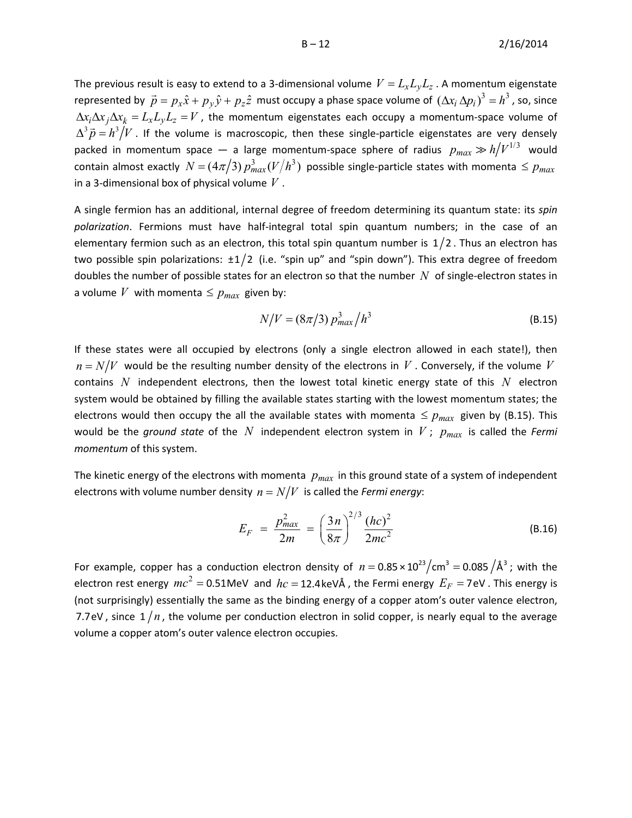The previous result is easy to extend to a 3-dimensional volume  $V = L_x L_y L_z$ . A momentum eigenstate represented by  $\vec{p} = p_x \hat{x} + p_y \hat{y} + p_z \hat{z}$  must occupy a phase space volume of  $(\Delta x_i \Delta p_i)^3 = h^3$ , so, since  $\Delta x_i \Delta x_j \Delta x_k = L_x L_y L_z = V$ , the momentum eigenstates each occupy a momentum-space volume of  $\Delta^3 \vec{p} = h^3/V$  . If the volume is macroscopic, then these single-particle eigenstates are very densely packed in momentum space — a large momentum-space sphere of radius  $p_{max} \gg h/V^{1/3}$  would contain almost exactly  $N = (4\pi/3) p_{max}^3 (V/h^3)$  possible single-particle states with momenta  $\leq p_{max}$ in a 3-dimensional box of physical volume *V* .

A single fermion has an additional, internal degree of freedom determining its quantum state: its *spin polarization*. Fermions must have half-integral total spin quantum numbers; in the case of an elementary fermion such as an electron, this total spin quantum number is  $1/2$ . Thus an electron has two possible spin polarizations:  $\pm 1/2$  (i.e. "spin up" and "spin down"). This extra degree of freedom doubles the number of possible states for an electron so that the number *N* of single-electron states in a volume *V* with momenta  $\leq p_{max}$  given by:

$$
N/V = (8\pi/3) p_{max}^3 / h^3
$$
 (B.15)

If these states were all occupied by electrons (only a single electron allowed in each state!), then  $n = N/V$  would be the resulting number density of the electrons in *V*. Conversely, if the volume *V* contains *N* independent electrons, then the lowest total kinetic energy state of this *N* electron system would be obtained by filling the available states starting with the lowest momentum states; the electrons would then occupy the all the available states with momenta  $\leq p_{max}$  given by (B.15). This would be the *ground state* of the N independent electron system in V;  $p_{max}$  is called the *Fermi momentum* of this system.

The kinetic energy of the electrons with momenta  $p_{max}$  in this ground state of a system of independent electrons with volume number density  $n = N/V$  is called the *Fermi energy*:

$$
E_F = \frac{p_{max}^2}{2m} = \left(\frac{3n}{8\pi}\right)^{2/3} \frac{(hc)^2}{2mc^2}
$$
 (B.16)

For example, copper has a conduction electron density of  $n = 0.85 \times 10^{23} / \text{cm}^3 = 0.085 / \text{\AA}^3$ ; with the electron rest energy  $mc^2 = 0.51$ MeV and  $hc = 12.4$ keVÅ, the Fermi energy  $E_F = 7$ eV. This energy is (not surprisingly) essentially the same as the binding energy of a copper atom's outer valence electron, 7.7eV, since  $1/n$ , the volume per conduction electron in solid copper, is nearly equal to the average volume a copper atom's outer valence electron occupies.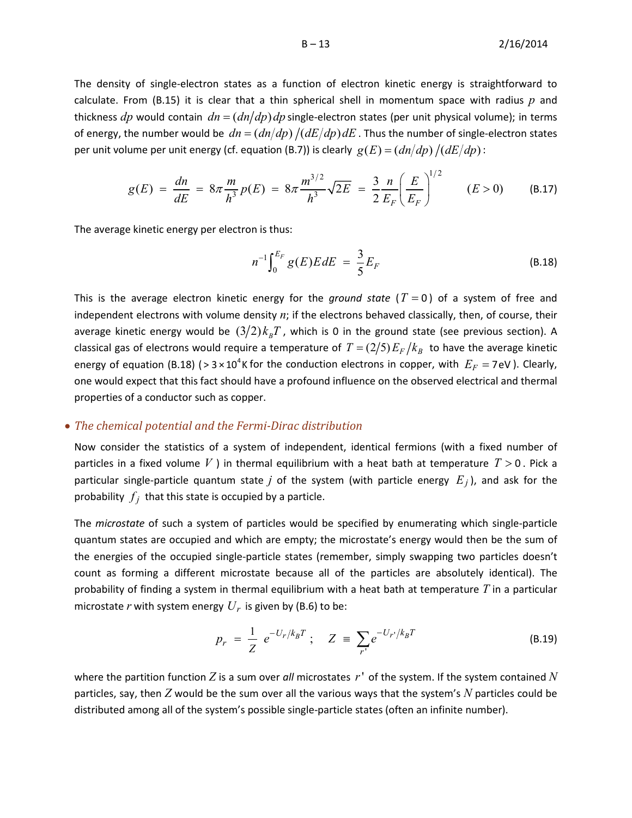$B - 13$  2/16/2014

The density of single-electron states as a function of electron kinetic energy is straightforward to calculate. From (B.15) it is clear that a thin spherical shell in momentum space with radius *p* and thickness *dp* would contain  $dn = (dn/dp) dp$  single-electron states (per unit physical volume); in terms of energy, the number would be  $dn = (dn/dp) / (dE/dp) dE$ . Thus the number of single-electron states per unit volume per unit energy (cf. equation (B.7)) is clearly  $g(E) = (dn/dp) / (dE/dp)$ :

$$
g(E) = \frac{dn}{dE} = 8\pi \frac{m}{h^3} p(E) = 8\pi \frac{m^{3/2}}{h^3} \sqrt{2E} = \frac{3}{2} \frac{n}{E_F} \left(\frac{E}{E_F}\right)^{1/2} \qquad (E > 0) \tag{B.17}
$$

The average kinetic energy per electron is thus:

$$
n^{-1} \int_0^{E_F} g(E) E dE = \frac{3}{5} E_F
$$
 (B.18)

This is the average electron kinetic energy for the *ground state*  $(T = 0)$  of a system of free and independent electrons with volume density *n*; if the electrons behaved classically, then, of course, their average kinetic energy would be  $(3/2)k_BT$ , which is 0 in the ground state (see previous section). A classical gas of electrons would require a temperature of  $T = (2/5) E_F / k_B$  to have the average kinetic energy of equation (B.18) ( $> 3 \times 10^{4}$ K for the conduction electrons in copper, with  $E_F = 7$ eV). Clearly, one would expect that this fact should have a profound influence on the observed electrical and thermal properties of a conductor such as copper.

#### <span id="page-12-0"></span>• *The chemical potential and the Fermi-Dirac distribution*

Now consider the statistics of a system of independent, identical fermions (with a fixed number of particles in a fixed volume V ) in thermal equilibrium with a heat bath at temperature  $T > 0$ . Pick a particular single-particle quantum state *j* of the system (with particle energy  $E_j$ ), and ask for the probability  $f_j$  that this state is occupied by a particle.

The *microstate* of such a system of particles would be specified by enumerating which single-particle quantum states are occupied and which are empty; the microstate's energy would then be the sum of the energies of the occupied single-particle states (remember, simply swapping two particles doesn't count as forming a different microstate because all of the particles are absolutely identical). The probability of finding a system in thermal equilibrium with a heat bath at temperature *T* in a particular microstate *r* with system energy  $U_r$  is given by (B.6) to be:

$$
p_r = \frac{1}{Z} e^{-U_r/k_B T}; \quad Z = \sum_{r'} e^{-U_{r'}/k_B T}
$$
 (B.19)

where the partition function *Z* is a sum over *all* microstates *r*' of the system. If the system contained *N* particles, say, then *Z* would be the sum over all the various ways that the system's *N* particles could be distributed among all of the system's possible single-particle states (often an infinite number).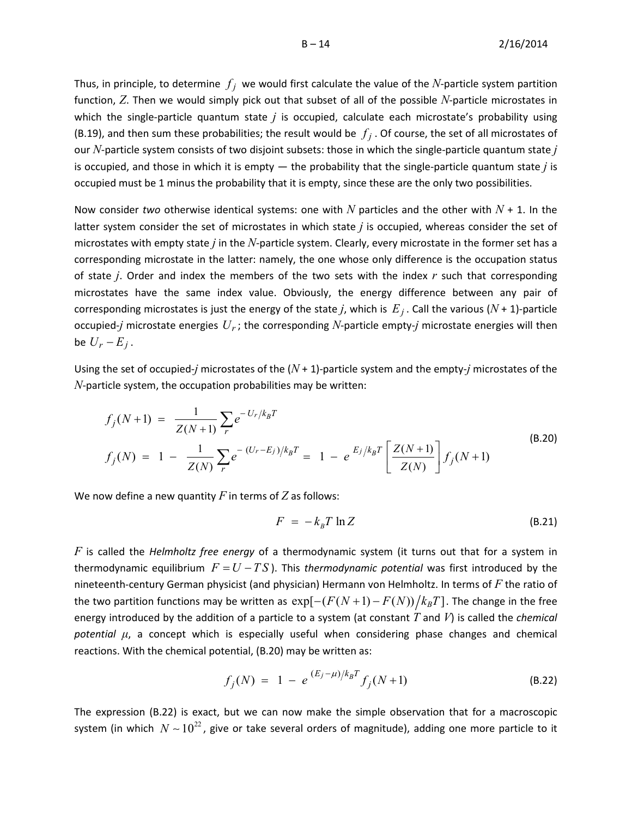Thus, in principle, to determine  $f_i$  we would first calculate the value of the *N*-particle system partition function, *Z*. Then we would simply pick out that subset of all of the possible *N*-particle microstates in which the single-particle quantum state *j* is occupied, calculate each microstate's probability using (B.19), and then sum these probabilities; the result would be  $f_j$ . Of course, the set of all microstates of our *N*-particle system consists of two disjoint subsets: those in which the single-particle quantum state *j* is occupied, and those in which it is empty — the probability that the single-particle quantum state *j* is occupied must be 1 minus the probability that it is empty, since these are the only two possibilities.

Now consider *two* otherwise identical systems: one with  $N$  particles and the other with  $N + 1$ . In the latter system consider the set of microstates in which state *j* is occupied, whereas consider the set of microstates with empty state *j* in the *N*-particle system. Clearly, every microstate in the former set has a corresponding microstate in the latter: namely, the one whose only difference is the occupation status of state *j*. Order and index the members of the two sets with the index *r* such that corresponding microstates have the same index value. Obviously, the energy difference between any pair of corresponding microstates is just the energy of the state *j*, which is  $E_j$ . Call the various ( $N + 1$ )-particle occupied-*j* microstate energies  $U_r$ ; the corresponding N-particle empty-*j* microstate energies will then be  $U_r - E_j$ .

Using the set of occupied-*j* microstates of the (*N* + 1)-particle system and the empty-*j* microstates of the *N*-particle system, the occupation probabilities may be written:

$$
f_j(N+1) = \frac{1}{Z(N+1)} \sum_r e^{-U_r/k_B T}
$$
  
\n
$$
f_j(N) = 1 - \frac{1}{Z(N)} \sum_r e^{-(U_r - E_j)/k_B T} = 1 - e^{E_j/k_B T} \left[ \frac{Z(N+1)}{Z(N)} \right] f_j(N+1)
$$
\n(B.20)

We now define a new quantity *F* in terms of *Z* as follows:

$$
F = -k_B T \ln Z \tag{B.21}
$$

*F* is called the *Helmholtz free energy* of a thermodynamic system (it turns out that for a system in thermodynamic equilibrium  $F = U - TS$ ). This *thermodynamic potential* was first introduced by the nineteenth-century German physicist (and physician) Hermann von Helmholtz. In terms of *F* the ratio of the two partition functions may be written as  $\exp[-( F(N+1) - F(N) ) / k_B T ]$ . The change in the free energy introduced by the addition of a particle to a system (at constant *T* and *V*) is called the *chemical potential μ*, a concept which is especially useful when considering phase changes and chemical reactions. With the chemical potential, (B.20) may be written as:

$$
f_j(N) = 1 - e^{(E_j - \mu)/k_B T} f_j(N+1)
$$
 (B.22)

The expression (B.22) is exact, but we can now make the simple observation that for a macroscopic system (in which  $N \sim 10^{22}$ , give or take several orders of magnitude), adding one more particle to it